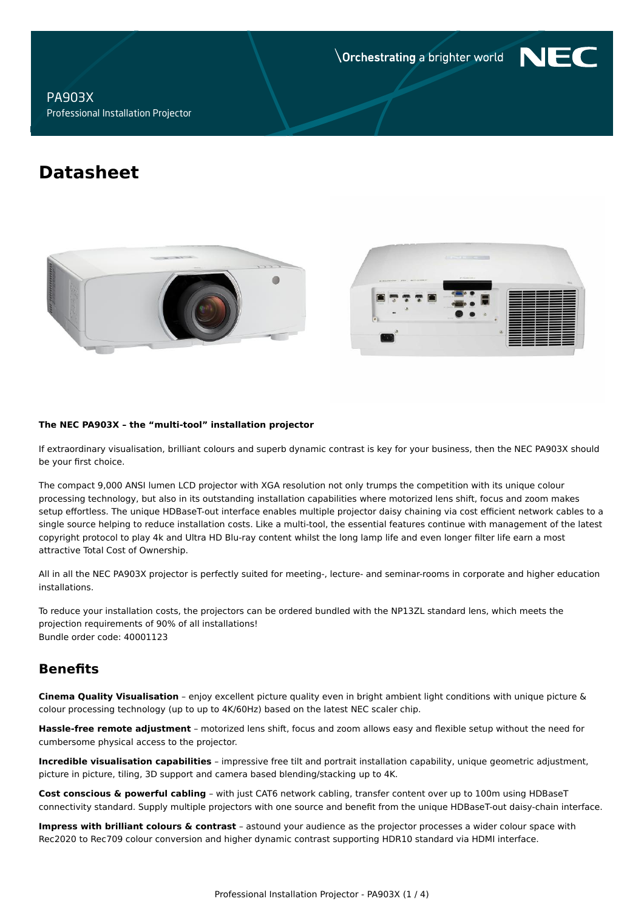**Orchestrating a brighter world** 

NF

# **PA903X** Professional Installation Projector

# **Datasheet**





#### The NEC PA903X - the "multi-tool" installation projector

If extraordinary visualisation, brilliant colours and superb dynamic contrast is key for your business, then the NEC PA903X should be your first choice.

The compact 9,000 ANSI lumen LCD projector with XGA resolution not only trumps the competition with its unique colour processing technology, but also in its outstanding installation capabilities where motorized lens shift, focus and zoom makes setup effortless. The unique HDBaseT-out interface enables multiple projector daisy chaining via cost efficient network cables to a single source helping to reduce installation costs. Like a multi-tool, the essential features continue with management of the latest copyright protocol to play 4k and Ultra HD Blu-ray content whilst the long lamp life and even longer filter life earn a most attractive Total Cost of Ownership.

All in all the NEC PA903X projector is perfectly suited for meeting-, lecture- and seminar-rooms in corporate and higher education installations.

To reduce your installation costs, the projectors can be ordered bundled with the NP13ZL standard lens, which meets the projection requirements of 90% of all installations! Bundle order code: 40001123

# **Benefits**

Cinema Quality Visualisation - enjoy excellent picture quality even in bright ambient light conditions with unique picture & colour processing technology (up to up to 4K/60Hz) based on the latest NEC scaler chip.

Hassle-free remote adjustment - motorized lens shift, focus and zoom allows easy and flexible setup without the need for cumbersome physical access to the projector.

Incredible visualisation capabilities - impressive free tilt and portrait installation capability, unique geometric adjustment, picture in picture, tiling, 3D support and camera based blending/stacking up to 4K.

Cost conscious & powerful cabling - with just CAT6 network cabling, transfer content over up to 100m using HDBaseT connectivity standard. Supply multiple projectors with one source and benefit from the unique HDBaseT-out daisy-chain interface.

Impress with brilliant colours & contrast - astound your audience as the projector processes a wider colour space with Rec2020 to Rec709 colour conversion and higher dynamic contrast supporting HDR10 standard via HDMI interface.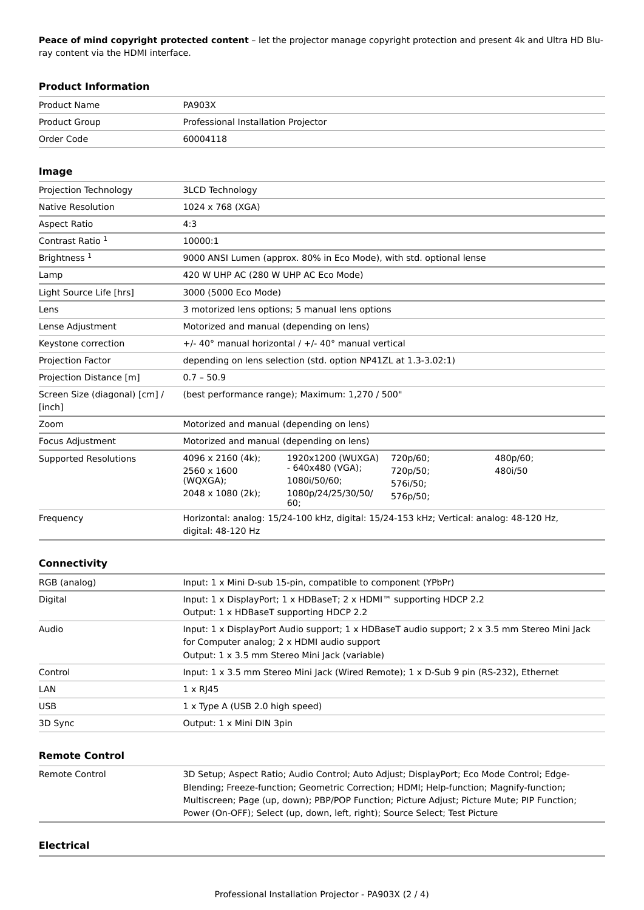Peace of mind copyright protected content - let the projector manage copyright protection and present 4k and Ultra HD Bluray content via the HDMI interface.

#### **Product Information**

| Product Name  | PA903X                              |
|---------------|-------------------------------------|
| Product Group | Professional Installation Projector |
| Order Code    | 60004118                            |

#### Image Projection Technology **3LCD Technology** Native Resolution 1024 x 768 (XGA) **Aspect Ratio**  $4:3$ Contrast Ratio<sup>1</sup> 10000:1 Brightness<sup>1</sup> 9000 ANSI Lumen (approx. 80% in Eco Mode), with std. optional lense Lamp 420 W UHP AC (280 W UHP AC Eco Mode) Light Source Life [hrs] 3000 (5000 Eco Mode) Lens 3 motorized lens options; 5 manual lens options Lense Adjustment Motorized and manual (depending on lens) +/- 40° manual horizontal / +/- 40° manual vertical Keystone correction Projection Factor depending on lens selection (std. option NP41ZL at 1.3-3.02:1) Projection Distance [m]  $0.7 - 50.9$ Screen Size (diagonal) [cm] / (best performance range); Maximum: 1,270 / 500" [inch] Zoom Motorized and manual (depending on lens) Focus Adjustment Motorized and manual (depending on lens) 4096 x 2160 (4k); 720p/60; **Supported Resolutions** 1920x1200 (WUXGA) 480p/60;  $-640x480$  (VGA); 2560 x 1600 720p/50; 480i/50 (WQXGA); 1080i/50/60; 576i/50; 2048 x 1080 (2k); 1080p/24/25/30/50/ 576p/50; 60; Frequency Horizontal: analog: 15/24-100 kHz, digital: 15/24-153 kHz; Vertical: analog: 48-120 Hz, digital: 48-120 Hz

## Connectivity

| RGB (analog) | Input: 1 x Mini D-sub 15-pin, compatible to component (YPbPr)                                                                                                                                 |
|--------------|-----------------------------------------------------------------------------------------------------------------------------------------------------------------------------------------------|
| Digital      | Input: $1 \times$ DisplayPort; $1 \times$ HDBaseT; $2 \times$ HDMI <sup><math>m</math></sup> supporting HDCP 2.2<br>Output: 1 x HDBaseT supporting HDCP 2.2                                   |
| Audio        | Input: 1 x DisplayPort Audio support; 1 x HDBaseT audio support; 2 x 3.5 mm Stereo Mini Jack<br>for Computer analog; 2 x HDMI audio support<br>Output: 1 x 3.5 mm Stereo Mini Jack (variable) |
| Control      | Input: 1 x 3.5 mm Stereo Mini Jack (Wired Remote); 1 x D-Sub 9 pin (RS-232), Ethernet                                                                                                         |
| LAN          | $1 \times R$  45                                                                                                                                                                              |
| <b>USB</b>   | 1 x Type A (USB 2.0 high speed)                                                                                                                                                               |
| 3D Sync      | Output: 1 x Mini DIN 3pin                                                                                                                                                                     |

#### **Remote Control**

| Remote Control | 3D Setup; Aspect Ratio; Audio Control; Auto Adjust; DisplayPort; Eco Mode Control; Edge-    |
|----------------|---------------------------------------------------------------------------------------------|
|                | Blending; Freeze-function; Geometric Correction; HDMI; Help-function; Magnify-function;     |
|                | Multiscreen; Page (up, down); PBP/POP Function; Picture Adjust; Picture Mute; PIP Function; |
|                | Power (On-OFF); Select (up, down, left, right); Source Select; Test Picture                 |
|                |                                                                                             |

#### **Electrical**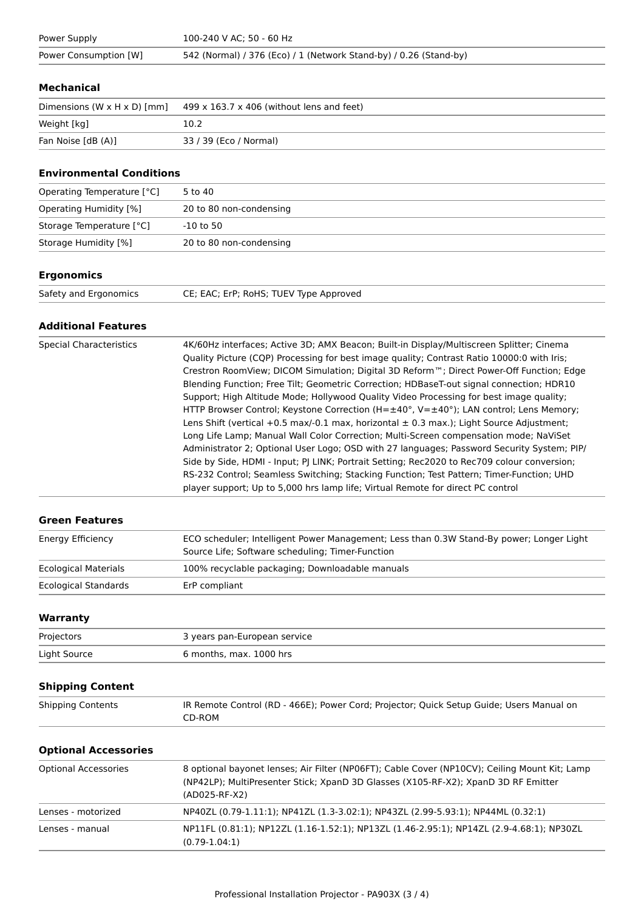| Power Supply          | 100-240 V AC; 50 - 60 Hz                                          |
|-----------------------|-------------------------------------------------------------------|
| Power Consumption [W] | 542 (Normal) / 376 (Eco) / 1 (Network Stand-by) / 0.26 (Stand-by) |

#### **Mechanical**

| Dimensions (W $\times$ H $\times$ D) [mm] | $499 \times 163.7 \times 406$ (without lens and feet) |
|-------------------------------------------|-------------------------------------------------------|
| Weight [kg]                               | 10.2                                                  |
| Fan Noise [dB (A)]                        | 33 / 39 (Eco / Normal)                                |

# **Environmental Conditions**

| Operating Temperature [°C]    | 5 to 40                 |
|-------------------------------|-------------------------|
| <b>Operating Humidity [%]</b> | 20 to 80 non-condensing |
| Storage Temperature [°C]      | -10 to 50               |
| Storage Humidity [%]          | 20 to 80 non-condensing |

# **Ergonomics**

| Safety and Ergonomics | CE; EAC; ErP; RoHS; TUEV Type Approved |
|-----------------------|----------------------------------------|
|                       |                                        |

# **Additional Features**

| <b>Special Characteristics</b> | 4K/60Hz interfaces; Active 3D; AMX Beacon; Built-in Display/Multiscreen Splitter; Cinema<br>Quality Picture (CQP) Processing for best image quality; Contrast Ratio 10000:0 with Iris;<br>Crestron RoomView; DICOM Simulation; Digital 3D Reform™; Direct Power-Off Function; Edge<br>Blending Function; Free Tilt; Geometric Correction; HDBaseT-out signal connection; HDR10<br>Support; High Altitude Mode; Hollywood Quality Video Processing for best image quality;                                                                                                                                                                                                         |
|--------------------------------|-----------------------------------------------------------------------------------------------------------------------------------------------------------------------------------------------------------------------------------------------------------------------------------------------------------------------------------------------------------------------------------------------------------------------------------------------------------------------------------------------------------------------------------------------------------------------------------------------------------------------------------------------------------------------------------|
|                                | HTTP Browser Control; Keystone Correction $(H=\pm 40^{\circ}, V=\pm 40^{\circ})$ ; LAN control; Lens Memory;<br>Lens Shift (vertical +0.5 max/-0.1 max, horizontal $\pm$ 0.3 max.); Light Source Adjustment;<br>Long Life Lamp; Manual Wall Color Correction; Multi-Screen compensation mode; NaViSet<br>Administrator 2; Optional User Logo; OSD with 27 languages; Password Security System; PIP/<br>Side by Side, HDMI - Input; PJ LINK; Portrait Setting; Rec2020 to Rec709 colour conversion;<br>RS-232 Control; Seamless Switching; Stacking Function; Test Pattern; Timer-Function; UHD<br>player support; Up to 5,000 hrs lamp life; Virtual Remote for direct PC control |

### **Green Features**

| Energy Efficiency           | ECO scheduler; Intelligent Power Management; Less than 0.3W Stand-By power; Longer Light<br>Source Life; Software scheduling; Timer-Function |
|-----------------------------|----------------------------------------------------------------------------------------------------------------------------------------------|
| <b>Ecological Materials</b> | 100% recyclable packaging; Downloadable manuals                                                                                              |
| Ecological Standards        | ErP compliant                                                                                                                                |

# Warranty

| Projectors   | 3 years pan-European service |
|--------------|------------------------------|
| Light Source | 6 months, max. 1000 hrs      |

# **Shipping Content**

| <b>Shipping Contents</b> | IR Remote Control (RD - 466E); Power Cord; Projector; Quick Setup Guide; Users Manual on |
|--------------------------|------------------------------------------------------------------------------------------|
|                          | CD-ROM                                                                                   |

### **Optional Accessories**

| <b>Optional Accessories</b> | 8 optional bayonet lenses; Air Filter (NP06FT); Cable Cover (NP10CV); Ceiling Mount Kit; Lamp<br>(NP42LP); MultiPresenter Stick; XpanD 3D Glasses (X105-RF-X2); XpanD 3D RF Emitter<br>(AD025-RF-X2) |
|-----------------------------|------------------------------------------------------------------------------------------------------------------------------------------------------------------------------------------------------|
| Lenses - motorized          | NP40ZL (0.79-1.11:1); NP41ZL (1.3-3.02:1); NP43ZL (2.99-5.93:1); NP44ML (0.32:1)                                                                                                                     |
| Lenses - manual             | NP11FL (0.81:1); NP12ZL (1.16-1.52:1); NP13ZL (1.46-2.95:1); NP14ZL (2.9-4.68:1); NP30ZL<br>$(0.79-1.04:1)$                                                                                          |